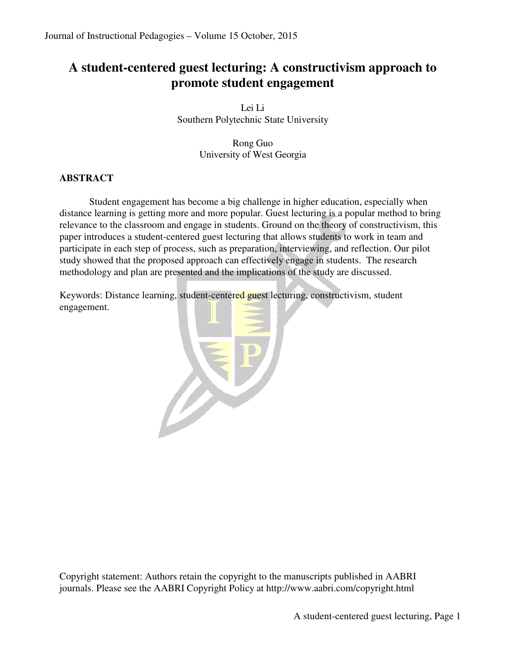# **A student-centered guest lecturing: A constructivism approach to promote student engagement**

Lei Li Southern Polytechnic State University

> Rong Guo University of West Georgia

# **ABSTRACT**

Student engagement has become a big challenge in higher education, especially when distance learning is getting more and more popular. Guest lecturing is a popular method to bring relevance to the classroom and engage in students. Ground on the theory of constructivism, this paper introduces a student-centered guest lecturing that allows students to work in team and participate in each step of process, such as preparation, interviewing, and reflection. Our pilot study showed that the proposed approach can effectively engage in students. The research methodology and plan are presented and the implications of the study are discussed.

Keywords: Distance learning, student-centered guest lecturing, constructivism, student engagement.



Copyright statement: Authors retain the copyright to the manuscripts published in AABRI journals. Please see the AABRI Copyright Policy at http://www.aabri.com/copyright.html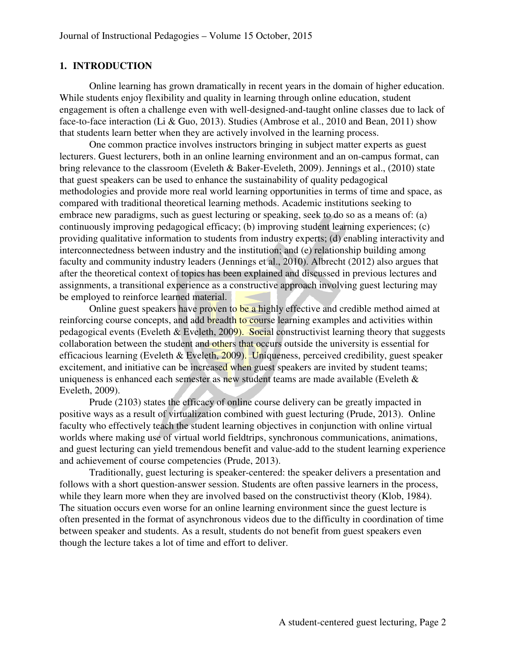## **1. INTRODUCTION**

Online learning has grown dramatically in recent years in the domain of higher education. While students enjoy flexibility and quality in learning through online education, student engagement is often a challenge even with well-designed-and-taught online classes due to lack of face-to-face interaction (Li & Guo, 2013). Studies (Ambrose et al., 2010 and Bean, 2011) show that students learn better when they are actively involved in the learning process.

One common practice involves instructors bringing in subject matter experts as guest lecturers. Guest lecturers, both in an online learning environment and an on-campus format, can bring relevance to the classroom (Eveleth & Baker-Eveleth, 2009). Jennings et al., (2010) state that guest speakers can be used to enhance the sustainability of quality pedagogical methodologies and provide more real world learning opportunities in terms of time and space, as compared with traditional theoretical learning methods. Academic institutions seeking to embrace new paradigms, such as guest lecturing or speaking, seek to do so as a means of: (a) continuously improving pedagogical efficacy; (b) improving student learning experiences; (c) providing qualitative information to students from industry experts; (d) enabling interactivity and interconnectedness between industry and the institution; and (e) relationship building among faculty and community industry leaders (Jennings et al., 2010). Albrecht (2012) also argues that after the theoretical context of topics has been explained and discussed in previous lectures and assignments, a transitional experience as a constructive approach involving guest lecturing may be employed to reinforce learned material.

Online guest speakers have proven to be a highly effective and credible method aimed at reinforcing course concepts, and add breadth to course learning examples and activities within pedagogical events (Eveleth & Eveleth, 2009). Social constructivist learning theory that suggests collaboration between the student and others that occurs outside the university is essential for efficacious learning (Eveleth & Eveleth,  $2009$ ). Uniqueness, perceived credibility, guest speaker excitement, and initiative can be increased when guest speakers are invited by student teams; uniqueness is enhanced each semester as new student teams are made available (Eveleth  $\&$ Eveleth, 2009).

Prude (2103) states the efficacy of online course delivery can be greatly impacted in positive ways as a result of virtualization combined with guest lecturing (Prude, 2013). Online faculty who effectively teach the student learning objectives in conjunction with online virtual worlds where making use of virtual world fieldtrips, synchronous communications, animations, and guest lecturing can yield tremendous benefit and value-add to the student learning experience and achievement of course competencies (Prude, 2013).

Traditionally, guest lecturing is speaker-centered: the speaker delivers a presentation and follows with a short question-answer session. Students are often passive learners in the process, while they learn more when they are involved based on the constructivist theory (Klob, 1984). The situation occurs even worse for an online learning environment since the guest lecture is often presented in the format of asynchronous videos due to the difficulty in coordination of time between speaker and students. As a result, students do not benefit from guest speakers even though the lecture takes a lot of time and effort to deliver.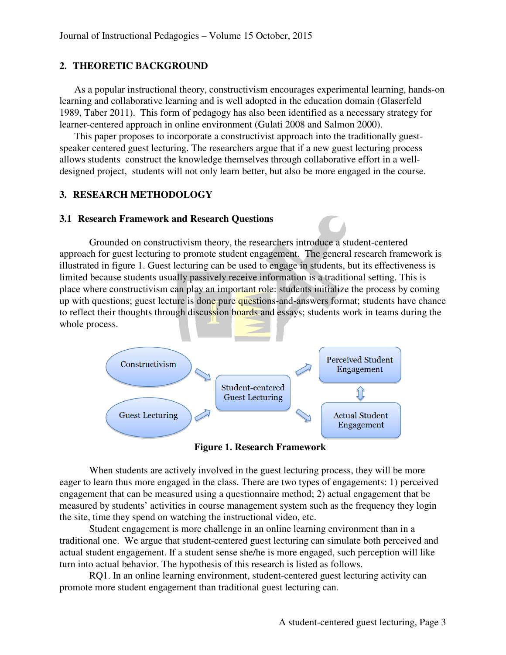## **2. THEORETIC BACKGROUND**

As a popular instructional theory, constructivism encourages experimental learning, hands-on learning and collaborative learning and is well adopted in the education domain (Glaserfeld 1989, Taber 2011). This form of pedagogy has also been identified as a necessary strategy for learner-centered approach in online environment (Gulati 2008 and Salmon 2000).

This paper proposes to incorporate a constructivist approach into the traditionally guestspeaker centered guest lecturing. The researchers argue that if a new guest lecturing process allows students construct the knowledge themselves through collaborative effort in a welldesigned project, students will not only learn better, but also be more engaged in the course.

#### **3. RESEARCH METHODOLOGY**

#### **3.1 Research Framework and Research Questions**

Grounded on constructivism theory, the researchers introduce a student-centered approach for guest lecturing to promote student engagement. The general research framework is illustrated in figure 1. Guest lecturing can be used to engage in students, but its effectiveness is limited because students usually passively receive information is a traditional setting. This is place where constructivism can play an important role: students initialize the process by coming up with questions; guest lecture is done pure questions-and-answers format; students have chance to reflect their thoughts through discussion boards and essays; students work in teams during the whole process.



**Figure 1. Research Framework** 

When students are actively involved in the guest lecturing process, they will be more eager to learn thus more engaged in the class. There are two types of engagements: 1) perceived engagement that can be measured using a questionnaire method; 2) actual engagement that be measured by students' activities in course management system such as the frequency they login the site, time they spend on watching the instructional video, etc.

Student engagement is more challenge in an online learning environment than in a traditional one. We argue that student-centered guest lecturing can simulate both perceived and actual student engagement. If a student sense she/he is more engaged, such perception will like turn into actual behavior. The hypothesis of this research is listed as follows.

RQ1. In an online learning environment, student-centered guest lecturing activity can promote more student engagement than traditional guest lecturing can.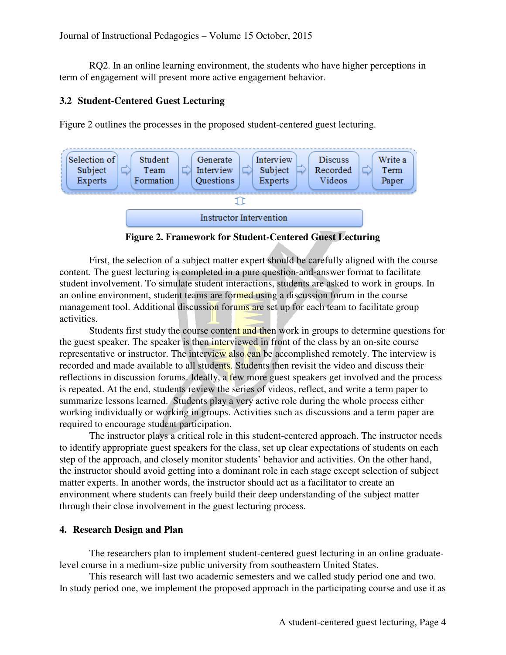RQ2. In an online learning environment, the students who have higher perceptions in term of engagement will present more active engagement behavior.

#### **3.2 Student-Centered Guest Lecturing**

Figure 2 outlines the processes in the proposed student-centered guest lecturing.



**Figure 2. Framework for Student-Centered Guest Lecturing** 

First, the selection of a subject matter expert should be carefully aligned with the course content. The guest lecturing is completed in a pure question-and-answer format to facilitate student involvement. To simulate student interactions, students are asked to work in groups. In an online environment, student teams are formed using a discussion forum in the course management tool. Additional discussion forums are set up for each team to facilitate group activities.

Students first study the course content and then work in groups to determine questions for the guest speaker. The speaker is then interviewed in front of the class by an on-site course representative or instructor. The interview also can be accomplished remotely. The interview is recorded and made available to all students. Students then revisit the video and discuss their reflections in discussion forums. Ideally, a few more guest speakers get involved and the process is repeated. At the end, students review the series of videos, reflect, and write a term paper to summarize lessons learned. Students play a very active role during the whole process either working individually or working in groups. Activities such as discussions and a term paper are required to encourage student participation.

The instructor plays a critical role in this student-centered approach. The instructor needs to identify appropriate guest speakers for the class, set up clear expectations of students on each step of the approach, and closely monitor students' behavior and activities. On the other hand, the instructor should avoid getting into a dominant role in each stage except selection of subject matter experts. In another words, the instructor should act as a facilitator to create an environment where students can freely build their deep understanding of the subject matter through their close involvement in the guest lecturing process.

#### **4. Research Design and Plan**

The researchers plan to implement student-centered guest lecturing in an online graduatelevel course in a medium-size public university from southeastern United States.

This research will last two academic semesters and we called study period one and two. In study period one, we implement the proposed approach in the participating course and use it as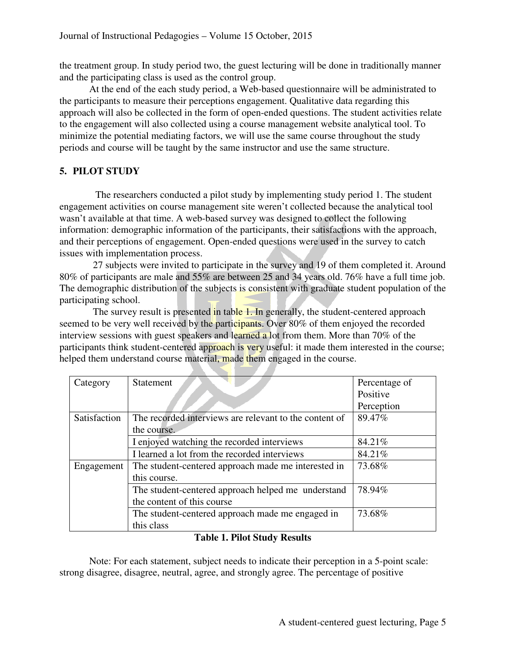the treatment group. In study period two, the guest lecturing will be done in traditionally manner and the participating class is used as the control group.

At the end of the each study period, a Web-based questionnaire will be administrated to the participants to measure their perceptions engagement. Qualitative data regarding this approach will also be collected in the form of open-ended questions. The student activities relate to the engagement will also collected using a course management website analytical tool. To minimize the potential mediating factors, we will use the same course throughout the study periods and course will be taught by the same instructor and use the same structure.

# **5. PILOT STUDY**

 The researchers conducted a pilot study by implementing study period 1. The student engagement activities on course management site weren't collected because the analytical tool wasn't available at that time. A web-based survey was designed to collect the following information: demographic information of the participants, their satisfactions with the approach, and their perceptions of engagement. Open-ended questions were used in the survey to catch issues with implementation process.

27 subjects were invited to participate in the survey and 19 of them completed it. Around 80% of participants are male and 55% are between 25 and 34 years old. 76% have a full time job. The demographic distribution of the subjects is consistent with graduate student population of the participating school.

The survey result is presented in table 1. In generally, the student-centered approach seemed to be very well received by the participants. Over 80% of them enjoyed the recorded interview sessions with guest speakers and learned a lot from them. More than 70% of the participants think student-centered approach is very useful: it made them interested in the course; helped them understand course material, made them engaged in the course.

| Category     | <b>Statement</b>                                       | Percentage of |
|--------------|--------------------------------------------------------|---------------|
|              |                                                        | Positive      |
|              |                                                        | Perception    |
| Satisfaction | The recorded interviews are relevant to the content of | 89.47%        |
|              | the course.                                            |               |
|              | I enjoyed watching the recorded interviews             | 84.21%        |
|              | I learned a lot from the recorded interviews           | 84.21%        |
| Engagement   | The student-centered approach made me interested in    | 73.68%        |
|              | this course.                                           |               |
|              | The student-centered approach helped me understand     | 78.94%        |
|              | the content of this course                             |               |
|              | The student-centered approach made me engaged in       | 73.68%        |
|              | this class                                             |               |

## **Table 1. Pilot Study Results**

Note: For each statement, subject needs to indicate their perception in a 5-point scale: strong disagree, disagree, neutral, agree, and strongly agree. The percentage of positive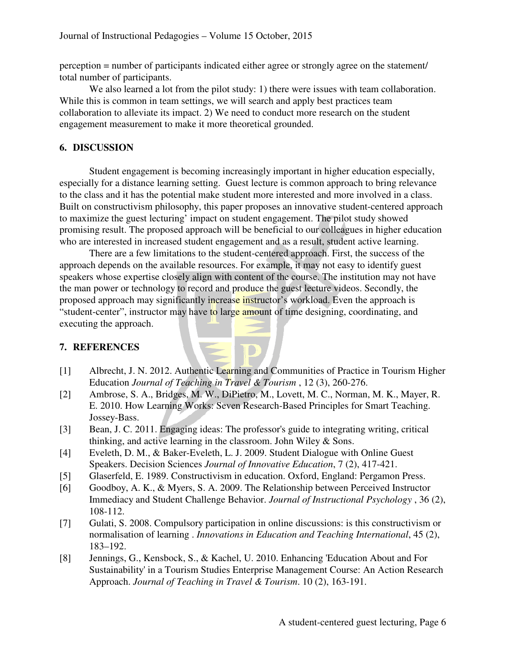perception = number of participants indicated either agree or strongly agree on the statement/ total number of participants.

We also learned a lot from the pilot study: 1) there were issues with team collaboration. While this is common in team settings, we will search and apply best practices team collaboration to alleviate its impact. 2) We need to conduct more research on the student engagement measurement to make it more theoretical grounded.

## **6. DISCUSSION**

Student engagement is becoming increasingly important in higher education especially, especially for a distance learning setting. Guest lecture is common approach to bring relevance to the class and it has the potential make student more interested and more involved in a class. Built on constructivism philosophy, this paper proposes an innovative student-centered approach to maximize the guest lecturing' impact on student engagement. The pilot study showed promising result. The proposed approach will be beneficial to our colleagues in higher education who are interested in increased student engagement and as a result, student active learning.

There are a few limitations to the student-centered approach. First, the success of the approach depends on the available resources. For example, it may not easy to identify guest speakers whose expertise closely align with content of the course. The institution may not have the man power or technology to record and produce the guest lecture videos. Secondly, the proposed approach may significantly increase instructor's workload. Even the approach is "student-center", instructor may have to large amount of time designing, coordinating, and executing the approach.

# **7. REFERENCES**

- [1] Albrecht, J. N. 2012. Authentic Learning and Communities of Practice in Tourism Higher Education *Journal of Teaching in Travel & Tourism* , 12 (3), 260-276.
- [2] Ambrose, S. A., Bridges, M. W., DiPietro, M., Lovett, M. C., Norman, M. K., Mayer, R. E. 2010. How Learning Works: Seven Research-Based Principles for Smart Teaching. Jossey-Bass.
- [3] Bean, J. C. 2011. Engaging ideas: The professor's guide to integrating writing, critical thinking, and active learning in the classroom. John Wiley & Sons.
- [4] Eveleth, D. M., & Baker-Eveleth, L. J. 2009. Student Dialogue with Online Guest Speakers. Decision Sciences *Journal of Innovative Education*, 7 (2), 417-421.
- [5] Glaserfeld, E. 1989. Constructivism in education. Oxford, England: Pergamon Press.
- [6] Goodboy, A. K., & Myers, S. A. 2009. The Relationship between Perceived Instructor Immediacy and Student Challenge Behavior. *Journal of Instructional Psychology* , 36 (2), 108-112.
- [7] Gulati, S. 2008. Compulsory participation in online discussions: is this constructivism or normalisation of learning . *Innovations in Education and Teaching International*, 45 (2), 183–192.
- [8] Jennings, G., Kensbock, S., & Kachel, U. 2010. Enhancing 'Education About and For Sustainability' in a Tourism Studies Enterprise Management Course: An Action Research Approach. *Journal of Teaching in Travel & Tourism*. 10 (2), 163-191.